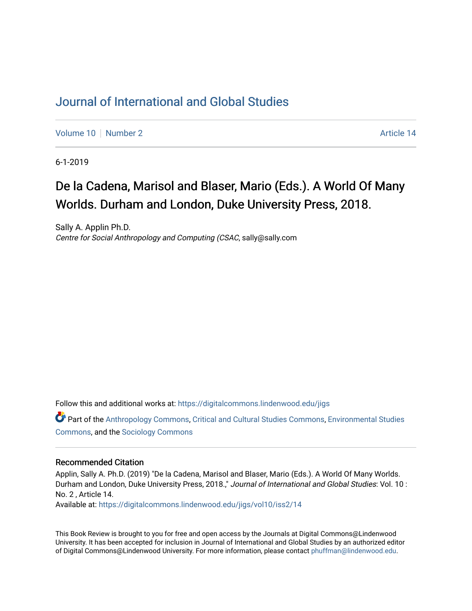## [Journal of International and Global Studies](https://digitalcommons.lindenwood.edu/jigs)

[Volume 10](https://digitalcommons.lindenwood.edu/jigs/vol10) [Number 2](https://digitalcommons.lindenwood.edu/jigs/vol10/iss2) Article 14

6-1-2019

## De la Cadena, Marisol and Blaser, Mario (Eds.). A World Of Many Worlds. Durham and London, Duke University Press, 2018.

Sally A. Applin Ph.D. Centre for Social Anthropology and Computing (CSAC, sally@sally.com

Follow this and additional works at: [https://digitalcommons.lindenwood.edu/jigs](https://digitalcommons.lindenwood.edu/jigs?utm_source=digitalcommons.lindenwood.edu%2Fjigs%2Fvol10%2Fiss2%2F14&utm_medium=PDF&utm_campaign=PDFCoverPages) 

Part of the [Anthropology Commons](http://network.bepress.com/hgg/discipline/318?utm_source=digitalcommons.lindenwood.edu%2Fjigs%2Fvol10%2Fiss2%2F14&utm_medium=PDF&utm_campaign=PDFCoverPages), [Critical and Cultural Studies Commons](http://network.bepress.com/hgg/discipline/328?utm_source=digitalcommons.lindenwood.edu%2Fjigs%2Fvol10%2Fiss2%2F14&utm_medium=PDF&utm_campaign=PDFCoverPages), [Environmental Studies](http://network.bepress.com/hgg/discipline/1333?utm_source=digitalcommons.lindenwood.edu%2Fjigs%2Fvol10%2Fiss2%2F14&utm_medium=PDF&utm_campaign=PDFCoverPages)  [Commons](http://network.bepress.com/hgg/discipline/1333?utm_source=digitalcommons.lindenwood.edu%2Fjigs%2Fvol10%2Fiss2%2F14&utm_medium=PDF&utm_campaign=PDFCoverPages), and the [Sociology Commons](http://network.bepress.com/hgg/discipline/416?utm_source=digitalcommons.lindenwood.edu%2Fjigs%2Fvol10%2Fiss2%2F14&utm_medium=PDF&utm_campaign=PDFCoverPages)

## Recommended Citation

Applin, Sally A. Ph.D. (2019) "De la Cadena, Marisol and Blaser, Mario (Eds.). A World Of Many Worlds. Durham and London, Duke University Press, 2018.," Journal of International and Global Studies: Vol. 10 : No. 2 , Article 14.

Available at: [https://digitalcommons.lindenwood.edu/jigs/vol10/iss2/14](https://digitalcommons.lindenwood.edu/jigs/vol10/iss2/14?utm_source=digitalcommons.lindenwood.edu%2Fjigs%2Fvol10%2Fiss2%2F14&utm_medium=PDF&utm_campaign=PDFCoverPages) 

This Book Review is brought to you for free and open access by the Journals at Digital Commons@Lindenwood University. It has been accepted for inclusion in Journal of International and Global Studies by an authorized editor of Digital Commons@Lindenwood University. For more information, please contact [phuffman@lindenwood.edu](mailto:phuffman@lindenwood.edu).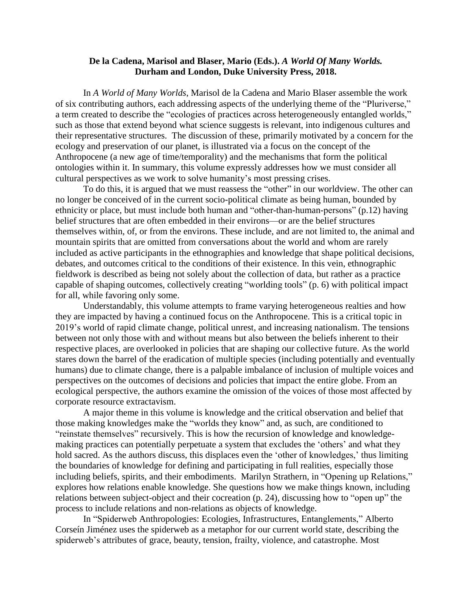## **De la Cadena, Marisol and Blaser, Mario (Eds.).** *A World Of Many Worlds.* **Durham and London, Duke University Press, 2018.**

In *A World of Many Worlds*, Marisol de la Cadena and Mario Blaser assemble the work of six contributing authors, each addressing aspects of the underlying theme of the "Pluriverse," a term created to describe the "ecologies of practices across heterogeneously entangled worlds," such as those that extend beyond what science suggests is relevant, into indigenous cultures and their representative structures. The discussion of these, primarily motivated by a concern for the ecology and preservation of our planet, is illustrated via a focus on the concept of the Anthropocene (a new age of time/temporality) and the mechanisms that form the political ontologies within it. In summary, this volume expressly addresses how we must consider all cultural perspectives as we work to solve humanity's most pressing crises.

To do this, it is argued that we must reassess the "other" in our worldview. The other can no longer be conceived of in the current socio-political climate as being human, bounded by ethnicity or place, but must include both human and "other-than-human-persons" (p.12) having belief structures that are often embedded in their environs—or are the belief structures themselves within, of, or from the environs. These include, and are not limited to, the animal and mountain spirits that are omitted from conversations about the world and whom are rarely included as active participants in the ethnographies and knowledge that shape political decisions, debates, and outcomes critical to the conditions of their existence. In this vein, ethnographic fieldwork is described as being not solely about the collection of data, but rather as a practice capable of shaping outcomes, collectively creating "worlding tools" (p. 6) with political impact for all, while favoring only some.

Understandably, this volume attempts to frame varying heterogeneous realties and how they are impacted by having a continued focus on the Anthropocene. This is a critical topic in 2019's world of rapid climate change, political unrest, and increasing nationalism. The tensions between not only those with and without means but also between the beliefs inherent to their respective places, are overlooked in policies that are shaping our collective future. As the world stares down the barrel of the eradication of multiple species (including potentially and eventually humans) due to climate change, there is a palpable imbalance of inclusion of multiple voices and perspectives on the outcomes of decisions and policies that impact the entire globe. From an ecological perspective, the authors examine the omission of the voices of those most affected by corporate resource extractavism.

A major theme in this volume is knowledge and the critical observation and belief that those making knowledges make the "worlds they know" and, as such, are conditioned to "reinstate themselves" recursively. This is how the recursion of knowledge and knowledgemaking practices can potentially perpetuate a system that excludes the 'others' and what they hold sacred. As the authors discuss, this displaces even the 'other of knowledges,' thus limiting the boundaries of knowledge for defining and participating in full realities, especially those including beliefs, spirits, and their embodiments. Marilyn Strathern, in "Opening up Relations," explores how relations enable knowledge. She questions how we make things known, including relations between subject-object and their cocreation (p. 24), discussing how to "open up" the process to include relations and non-relations as objects of knowledge.

In "Spiderweb Anthropologies: Ecologies, Infrastructures, Entanglements," Alberto Corseín Jiménez uses the spiderweb as a metaphor for our current world state, describing the spiderweb's attributes of grace, beauty, tension, frailty, violence, and catastrophe. Most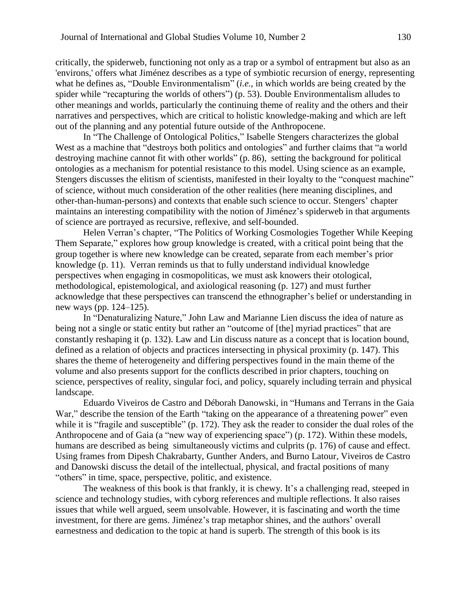critically, the spiderweb, functioning not only as a trap or a symbol of entrapment but also as an 'environs,' offers what Jiménez describes as a type of symbiotic recursion of energy, representing what he defines as, "Double Environmentalism" (*i.e.*, in which worlds are being created by the spider while "recapturing the worlds of others") (p. 53). Double Environmentalism alludes to other meanings and worlds, particularly the continuing theme of reality and the others and their narratives and perspectives, which are critical to holistic knowledge-making and which are left out of the planning and any potential future outside of the Anthropocene.

In "The Challenge of Ontological Politics," Isabelle Stengers characterizes the global West as a machine that "destroys both politics and ontologies" and further claims that "a world destroying machine cannot fit with other worlds" (p. 86), setting the background for political ontologies as a mechanism for potential resistance to this model. Using science as an example, Stengers discusses the elitism of scientists, manifested in their loyalty to the "conquest machine" of science, without much consideration of the other realities (here meaning disciplines, and other-than-human-persons) and contexts that enable such science to occur. Stengers' chapter maintains an interesting compatibility with the notion of Jiménez's spiderweb in that arguments of science are portrayed as recursive, reflexive, and self-bounded.

Helen Verran's chapter, "The Politics of Working Cosmologies Together While Keeping Them Separate," explores how group knowledge is created, with a critical point being that the group together is where new knowledge can be created, separate from each member's prior knowledge (p. 11). Verran reminds us that to fully understand individual knowledge perspectives when engaging in cosmopoliticas, we must ask knowers their otological, methodological, epistemological, and axiological reasoning (p. 127) and must further acknowledge that these perspectives can transcend the ethnographer's belief or understanding in new ways (pp. 124–125).

In "Denaturalizing Nature," John Law and Marianne Lien discuss the idea of nature as being not a single or static entity but rather an "outcome of [the] myriad practices" that are constantly reshaping it (p. 132). Law and Lin discuss nature as a concept that is location bound, defined as a relation of objects and practices intersecting in physical proximity (p. 147). This shares the theme of heterogeneity and differing perspectives found in the main theme of the volume and also presents support for the conflicts described in prior chapters, touching on science, perspectives of reality, singular foci, and policy, squarely including terrain and physical landscape.

Eduardo Viveiros de Castro and Déborah Danowski, in "Humans and Terrans in the Gaia War," describe the tension of the Earth "taking on the appearance of a threatening power" even while it is "fragile and susceptible" (p. 172). They ask the reader to consider the dual roles of the Anthropocene and of Gaia (a "new way of experiencing space") (p. 172). Within these models, humans are described as being simultaneously victims and culprits (p. 176) of cause and effect. Using frames from Dipesh Chakrabarty, Gunther Anders, and Burno Latour, Viveiros de Castro and Danowski discuss the detail of the intellectual, physical, and fractal positions of many "others" in time, space, perspective, politic, and existence.

The weakness of this book is that frankly, it is chewy. It's a challenging read, steeped in science and technology studies, with cyborg references and multiple reflections. It also raises issues that while well argued, seem unsolvable. However, it is fascinating and worth the time investment, for there are gems. Jiménez's trap metaphor shines, and the authors' overall earnestness and dedication to the topic at hand is superb. The strength of this book is its